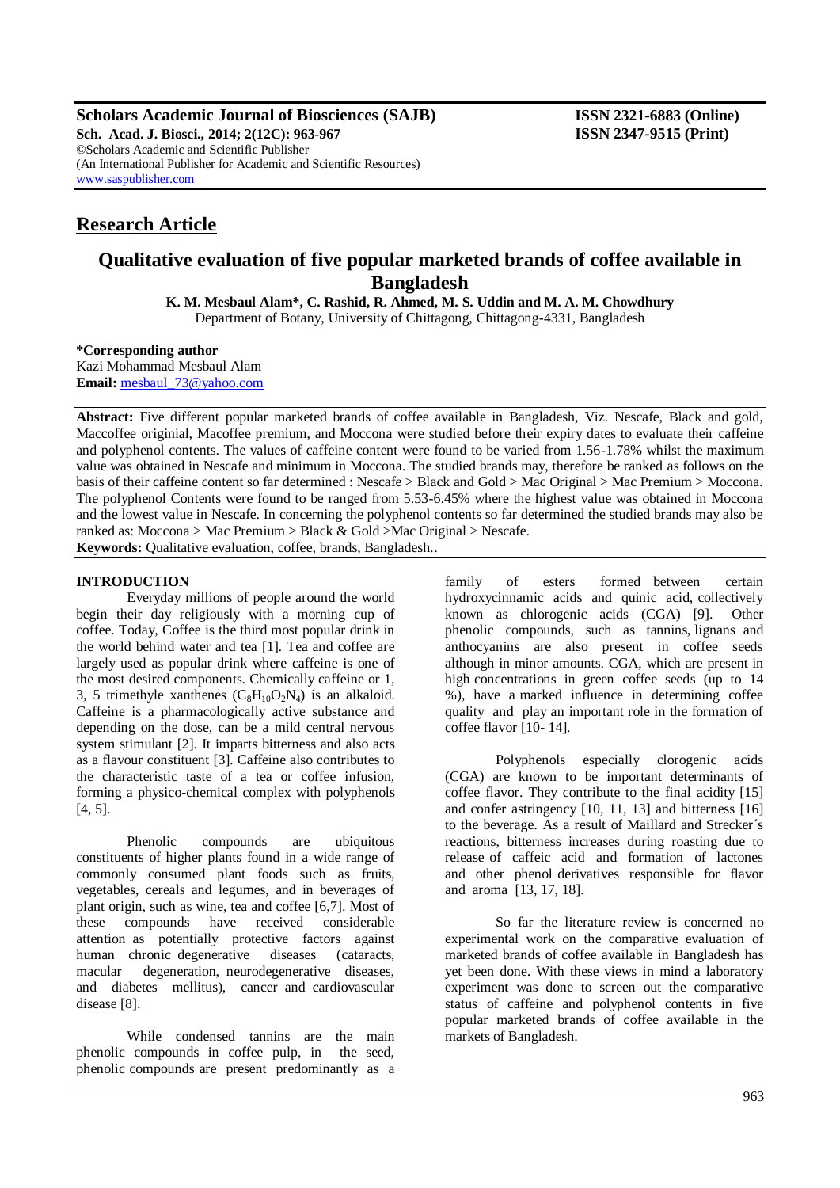**Scholars Academic Journal of Biosciences (SAJB) ISSN 2321-6883 (Online) Sch. Acad. J. Biosci., 2014; 2(12C): 963-967 ISSN 2347-9515 (Print)** ©Scholars Academic and Scientific Publisher (An International Publisher for Academic and Scientific Resources) [www.saspublisher.com](http://www.saspublisher.com/)

# **Research Article**

# **Qualitative evaluation of five popular marketed brands of coffee available in Bangladesh**

**K. M. Mesbaul Alam\*, C. Rashid, R. Ahmed, M. S. Uddin and M. A. M. Chowdhury** Department of Botany, University of Chittagong, Chittagong-4331, Bangladesh

**\*Corresponding author**

Kazi Mohammad Mesbaul Alam **Email:** [mesbaul\\_73@yahoo.com](mailto:mesbaul_73@yahoo.com)

**Abstract:** Five different popular marketed brands of coffee available in Bangladesh, Viz. Nescafe, Black and gold, Maccoffee originial, Macoffee premium, and Moccona were studied before their expiry dates to evaluate their caffeine and polyphenol contents. The values of caffeine content were found to be varied from 1.56-1.78% whilst the maximum value was obtained in Nescafe and minimum in Moccona. The studied brands may, therefore be ranked as follows on the basis of their caffeine content so far determined : Nescafe > Black and Gold > Mac Original > Mac Premium > Moccona. The polyphenol Contents were found to be ranged from 5.53-6.45% where the highest value was obtained in Moccona and the lowest value in Nescafe. In concerning the polyphenol contents so far determined the studied brands may also be ranked as: Moccona > Mac Premium > Black & Gold >Mac Original > Nescafe. **Keywords:** Qualitative evaluation, coffee, brands, Bangladesh..

## **INTRODUCTION**

Everyday millions of people around the world begin their day religiously with a morning cup of coffee. Today, Coffee is the third most popular drink in the world behind water and tea [1]. Tea and coffee are largely used as popular drink where caffeine is one of the most desired components. Chemically caffeine or 1, 3, 5 trimethyle xanthenes  $(C_8H_{10}O_2N_4)$  is an alkaloid. Caffeine is a pharmacologically active substance and depending on the dose, can be a mild central nervous system stimulant [2]. It imparts bitterness and also acts as a flavour constituent [3]. Caffeine also contributes to the characteristic taste of a tea or coffee infusion, forming a physico-chemical complex with polyphenols [4, 5].

Phenolic compounds are ubiquitous constituents of higher plants found in a wide range of commonly consumed plant foods such as fruits, vegetables, cereals and legumes, and in beverages of plant origin, such as wine, tea and coffee [6,7]. Most of these compounds have received considerable attention as potentially protective factors against human chronic degenerative diseases (cataracts, macular degeneration, neurodegenerative diseases, and diabetes mellitus), cancer and cardiovascular disease [8].

While condensed tannins are the main phenolic compounds in coffee pulp, in the seed, phenolic compounds are present predominantly as a

family of esters formed between certain hydroxycinnamic acids and quinic acid, collectively known as chlorogenic acids (CGA) [9]. Other phenolic compounds, such as tannins, lignans and anthocyanins are also present in coffee seeds although in minor amounts. CGA, which are present in high concentrations in green coffee seeds (up to 14 %), have a marked influence in determining coffee quality and play an important role in the formation of coffee flavor [10- 14].

Polyphenols especially clorogenic acids (CGA) are known to be important determinants of coffee flavor. They contribute to the final acidity [15] and confer astringency [10, 11, 13] and bitterness [16] to the beverage. As a result of Maillard and Strecker´s reactions, bitterness increases during roasting due to release of caffeic acid and formation of lactones and other phenol derivatives responsible for flavor and aroma [13, 17, 18].

So far the literature review is concerned no experimental work on the comparative evaluation of marketed brands of coffee available in Bangladesh has yet been done. With these views in mind a laboratory experiment was done to screen out the comparative status of caffeine and polyphenol contents in five popular marketed brands of coffee available in the markets of Bangladesh.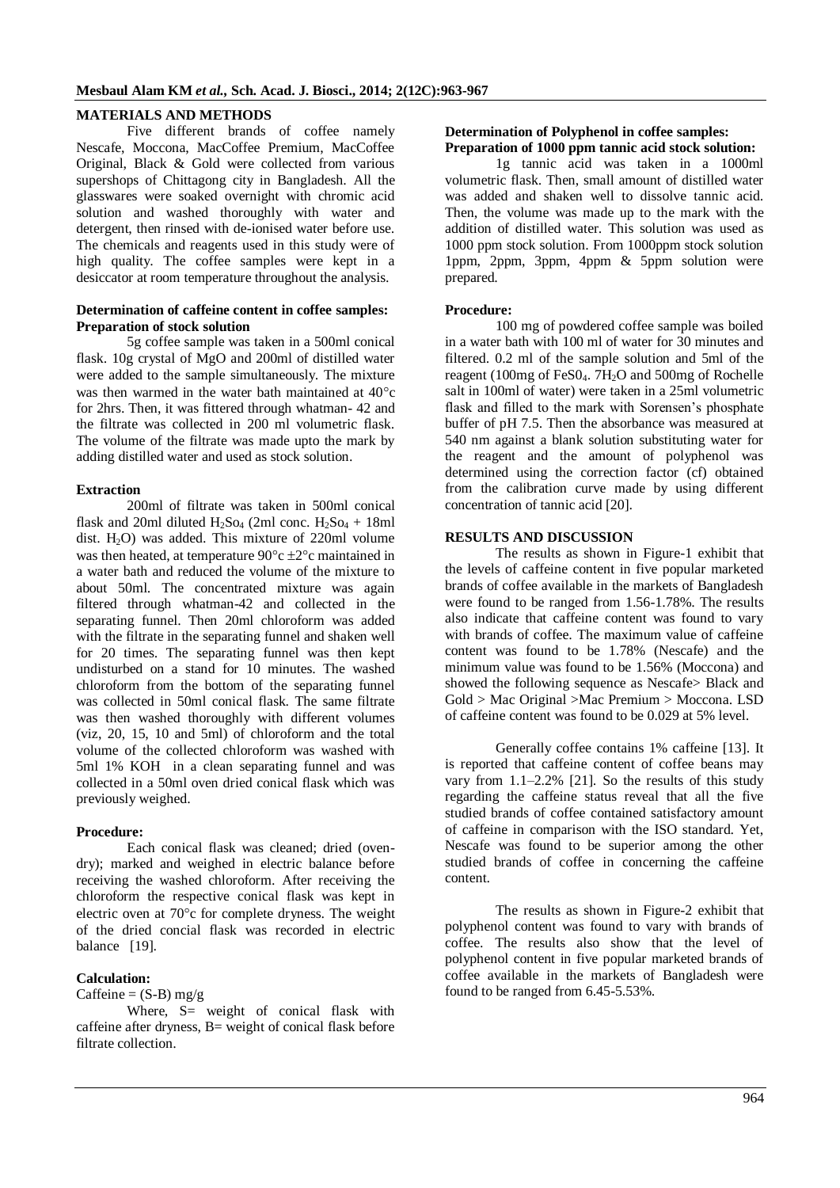### **MATERIALS AND METHODS**

Five different brands of coffee namely Nescafe, Moccona, MacCoffee Premium, MacCoffee Original, Black & Gold were collected from various supershops of Chittagong city in Bangladesh. All the glasswares were soaked overnight with chromic acid solution and washed thoroughly with water and detergent, then rinsed with de-ionised water before use. The chemicals and reagents used in this study were of high quality. The coffee samples were kept in a desiccator at room temperature throughout the analysis.

#### **Determination of caffeine content in coffee samples: Preparation of stock solution**

5g coffee sample was taken in a 500ml conical flask. 10g crystal of MgO and 200ml of distilled water were added to the sample simultaneously. The mixture was then warmed in the water bath maintained at  $40^{\circ}$ c for 2hrs. Then, it was fittered through whatman- 42 and the filtrate was collected in 200 ml volumetric flask. The volume of the filtrate was made upto the mark by adding distilled water and used as stock solution.

#### **Extraction**

200ml of filtrate was taken in 500ml conical flask and 20ml diluted  $H_2SO_4$  (2ml conc.  $H_2SO_4 + 18$ ml dist.  $H<sub>2</sub>O$  was added. This mixture of 220ml volume was then heated, at temperature  $90^{\circ}c \pm 2^{\circ}c$  maintained in a water bath and reduced the volume of the mixture to about 50ml. The concentrated mixture was again filtered through whatman-42 and collected in the separating funnel. Then 20ml chloroform was added with the filtrate in the separating funnel and shaken well for 20 times. The separating funnel was then kept undisturbed on a stand for 10 minutes. The washed chloroform from the bottom of the separating funnel was collected in 50ml conical flask. The same filtrate was then washed thoroughly with different volumes (viz, 20, 15, 10 and 5ml) of chloroform and the total volume of the collected chloroform was washed with 5ml 1% KOH in a clean separating funnel and was collected in a 50ml oven dried conical flask which was previously weighed.

### **Procedure:**

Each conical flask was cleaned; dried (ovendry); marked and weighed in electric balance before receiving the washed chloroform. After receiving the chloroform the respective conical flask was kept in electric oven at  $70^{\circ}$ c for complete dryness. The weight of the dried concial flask was recorded in electric balance [19].

## **Calculation:**

## Caffeine =  $(S-B)$  mg/g

Where, S= weight of conical flask with caffeine after dryness, B= weight of conical flask before filtrate collection.

#### **Determination of Polyphenol in coffee samples: Preparation of 1000 ppm tannic acid stock solution:**

1g tannic acid was taken in a 1000ml volumetric flask. Then, small amount of distilled water was added and shaken well to dissolve tannic acid. Then, the volume was made up to the mark with the addition of distilled water. This solution was used as 1000 ppm stock solution. From 1000ppm stock solution  $1$ ppm,  $2$ ppm,  $3$ ppm,  $4$ ppm  $\&$  5ppm solution were prepared.

#### **Procedure:**

100 mg of powdered coffee sample was boiled in a water bath with 100 ml of water for 30 minutes and filtered. 0.2 ml of the sample solution and 5ml of the reagent (100mg of FeS04. 7H<sub>2</sub>O and 500mg of Rochelle salt in 100ml of water) were taken in a 25ml volumetric flask and filled to the mark with Sorensen's phosphate buffer of pH 7.5. Then the absorbance was measured at 540 nm against a blank solution substituting water for the reagent and the amount of polyphenol was determined using the correction factor (cf) obtained from the calibration curve made by using different concentration of tannic acid [20].

# **RESULTS AND DISCUSSION**

The results as shown in Figure-1 exhibit that the levels of caffeine content in five popular marketed brands of coffee available in the markets of Bangladesh were found to be ranged from 1.56-1.78%. The results also indicate that caffeine content was found to vary with brands of coffee. The maximum value of caffeine content was found to be 1.78% (Nescafe) and the minimum value was found to be 1.56% (Moccona) and showed the following sequence as Nescafe> Black and Gold > Mac Original >Mac Premium > Moccona. LSD of caffeine content was found to be 0.029 at 5% level.

Generally coffee contains 1% caffeine [13]. It is reported that caffeine content of coffee beans may vary from 1.1–2.2% [21]. So the results of this study regarding the caffeine status reveal that all the five studied brands of coffee contained satisfactory amount of caffeine in comparison with the ISO standard. Yet, Nescafe was found to be superior among the other studied brands of coffee in concerning the caffeine content.

The results as shown in Figure-2 exhibit that polyphenol content was found to vary with brands of coffee. The results also show that the level of polyphenol content in five popular marketed brands of coffee available in the markets of Bangladesh were found to be ranged from 6.45-5.53%.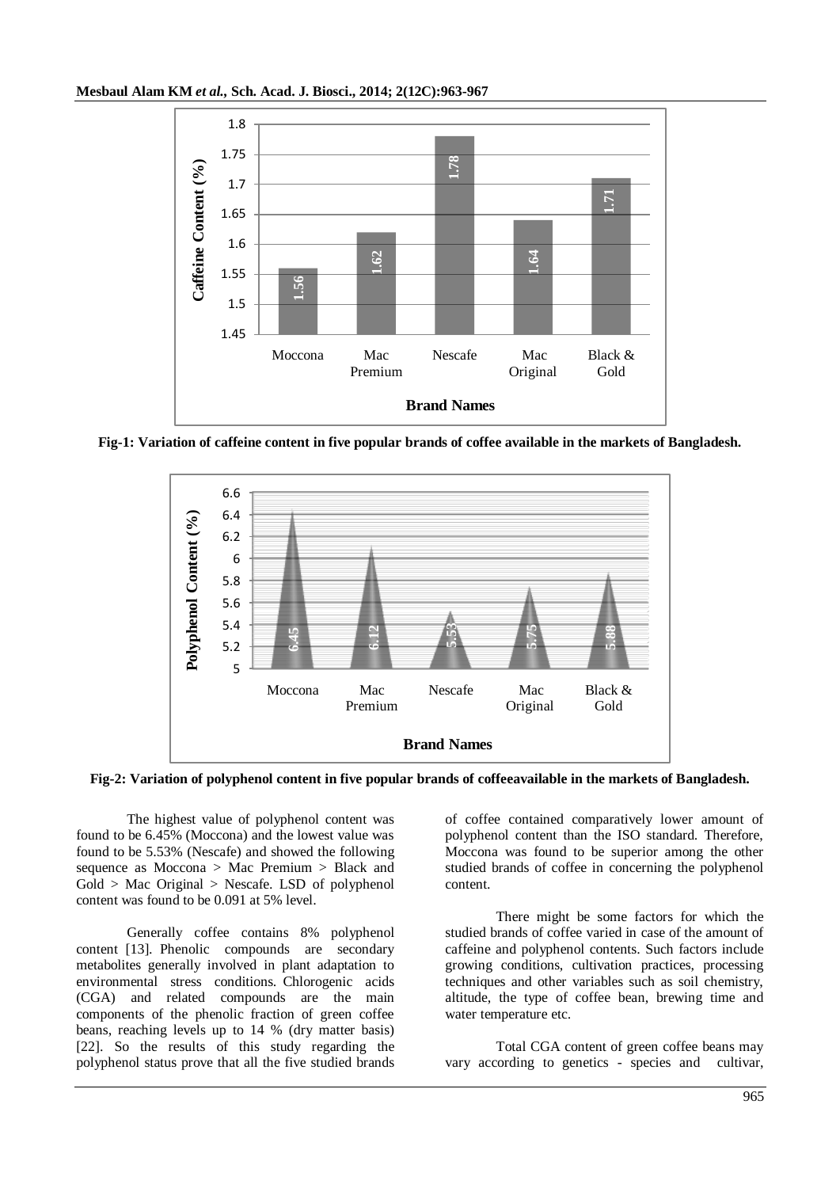

**Fig-1: Variation of caffeine content in five popular brands of coffee available in the markets of Bangladesh.**



**Fig-2: Variation of polyphenol content in five popular brands of coffeeavailable in the markets of Bangladesh.**

The highest value of polyphenol content was found to be 6.45% (Moccona) and the lowest value was found to be 5.53% (Nescafe) and showed the following sequence as Moccona > Mac Premium > Black and  $Gold > Mac Original > Nescafe. LSD of polyphenol$ content was found to be 0.091 at 5% level.

Generally coffee contains 8% polyphenol content [13]. Phenolic compounds are secondary metabolites generally involved in plant adaptation to environmental stress conditions. Chlorogenic acids (CGA) and related compounds are the main components of the phenolic fraction of green coffee beans, reaching levels up to 14 % (dry matter basis) [22]. So the results of this study regarding the polyphenol status prove that all the five studied brands

of coffee contained comparatively lower amount of polyphenol content than the ISO standard. Therefore, Moccona was found to be superior among the other studied brands of coffee in concerning the polyphenol content.

There might be some factors for which the studied brands of coffee varied in case of the amount of caffeine and polyphenol contents. Such factors include growing conditions, cultivation practices, processing techniques and other variables such as soil chemistry, altitude, the type of coffee bean, brewing time and water temperature etc.

Total CGA content of green coffee beans may vary according to genetics - species and cultivar,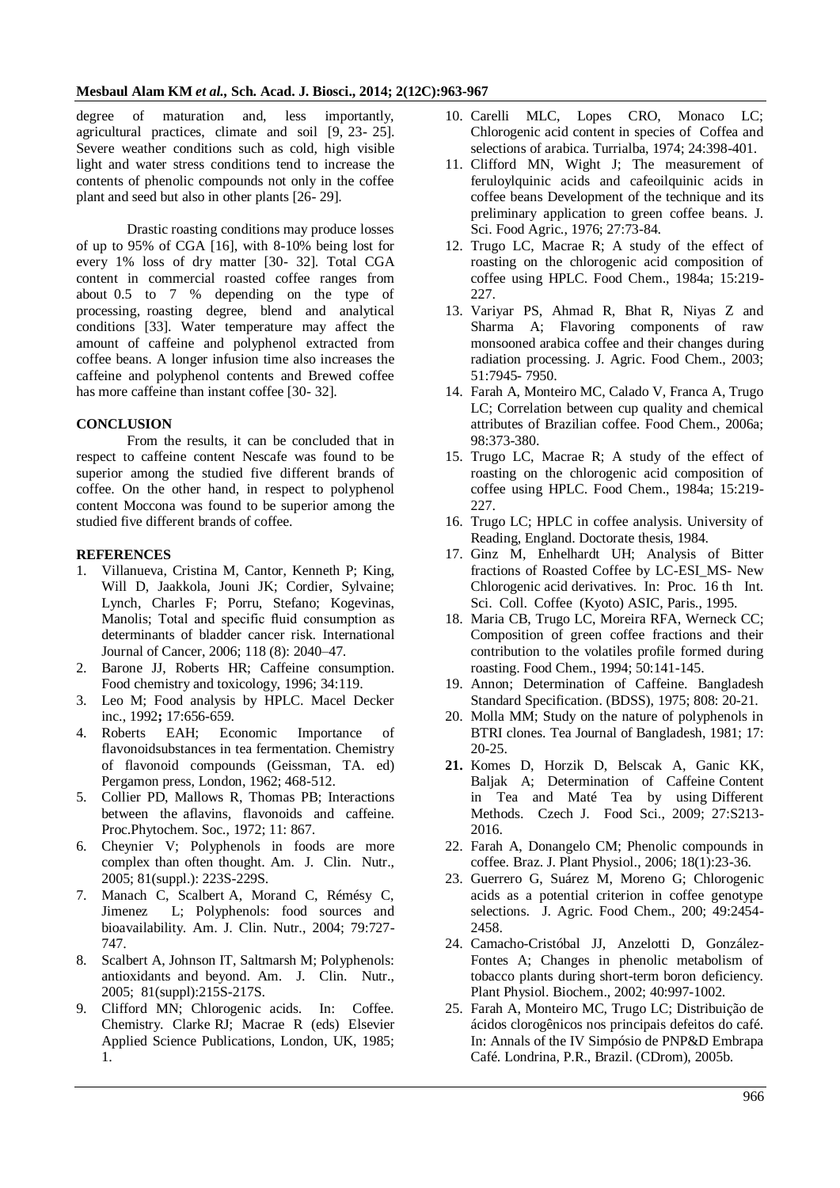degree of maturation and, less importantly, agricultural practices, climate and soil [9, 23- 25]. Severe weather conditions such as cold, high visible light and water stress conditions tend to increase the contents of phenolic compounds not only in the coffee plant and seed but also in other plants [26- 29].

Drastic roasting conditions may produce losses of up to 95% of CGA [16], with 8-10% being lost for every 1% loss of dry matter [30- 32]. Total CGA content in commercial roasted coffee ranges from about 0.5 to 7 % depending on the type of processing, roasting degree, blend and analytical conditions [33]. Water temperature may affect the amount of caffeine and polyphenol extracted from coffee beans. A longer infusion time also increases the caffeine and polyphenol contents and Brewed coffee has more caffeine than instant coffee [30- 32].

#### **CONCLUSION**

From the results, it can be concluded that in respect to caffeine content Nescafe was found to be superior among the studied five different brands of coffee. On the other hand, in respect to polyphenol content Moccona was found to be superior among the studied five different brands of coffee.

#### **REFERENCES**

- 1. Villanueva, Cristina M, Cantor, Kenneth P; King, Will D, Jaakkola, Jouni JK; Cordier, Sylvaine; Lynch, Charles F; Porru, Stefano; Kogevinas, Manolis; Total and specific fluid consumption as determinants of bladder cancer risk. International Journal of Cancer, 2006; 118 (8): 2040–47.
- 2. Barone JJ, Roberts HR; Caffeine consumption. Food chemistry and toxicology, 1996; 34:119.
- 3. Leo M; Food analysis by HPLC. Macel Decker inc., 1992**;** 17:656-659.
- 4. Roberts EAH; Economic Importance of flavonoidsubstances in tea fermentation. Chemistry of flavonoid compounds (Geissman, TA. ed) Pergamon press, London, 1962; 468-512.
- 5. Collier PD, Mallows R, Thomas PB; Interactions between the aflavins, flavonoids and caffeine. Proc.Phytochem. Soc., 1972; 11: 867.
- 6. Cheynier V; Polyphenols in foods are more complex than often thought. Am. J. Clin. Nutr., 2005; 81(suppl.): 223S-229S.
- 7. Manach C, Scalbert A, Morand C, Rémésy C, Jimenez L; Polyphenols: food sources and bioavailability. Am. J. Clin. Nutr., 2004; 79:727- 747.
- 8. Scalbert A, Johnson IT, Saltmarsh M; Polyphenols: antioxidants and beyond. Am. J. Clin. Nutr., 2005; 81(suppl):215S-217S.
- 9. Clifford MN; Chlorogenic acids. In: Coffee. Chemistry. Clarke RJ; Macrae R (eds) Elsevier Applied Science Publications, London, UK, 1985; 1.
- 10. Carelli MLC, Lopes CRO, Monaco LC; Chlorogenic acid content in species of Coffea and selections of arabica. Turrialba, 1974; 24:398-401.
- 11. Clifford MN, Wight J; The measurement of feruloylquinic acids and cafeoilquinic acids in coffee beans Development of the technique and its preliminary application to green coffee beans. J. Sci. Food Agric., 1976; 27:73-84.
- 12. Trugo LC, Macrae R; A study of the effect of roasting on the chlorogenic acid composition of coffee using HPLC. Food Chem., 1984a; 15:219- 227.
- 13. Variyar PS, Ahmad R, Bhat R, Niyas Z and Sharma A; Flavoring components of raw monsooned arabica coffee and their changes during radiation processing. J. Agric. Food Chem., 2003; 51:7945- 7950.
- 14. Farah A, Monteiro MC, Calado V, Franca A, Trugo LC; Correlation between cup quality and chemical attributes of Brazilian coffee. Food Chem., 2006a; 98:373-380.
- 15. Trugo LC, Macrae R; A study of the effect of roasting on the chlorogenic acid composition of coffee using HPLC. Food Chem., 1984a; 15:219- 227.
- 16. Trugo LC; HPLC in coffee analysis. University of Reading, England. Doctorate thesis, 1984.
- 17. Ginz M, Enhelhardt UH; Analysis of Bitter fractions of Roasted Coffee by LC-ESI\_MS- New Chlorogenic acid derivatives. In: Proc. 16 th Int. Sci. Coll. Coffee (Kyoto) ASIC, Paris., 1995.
- 18. Maria CB, Trugo LC, Moreira RFA, Werneck CC; Composition of green coffee fractions and their contribution to the volatiles profile formed during roasting. Food Chem., 1994; 50:141-145.
- 19. Annon; Determination of Caffeine. Bangladesh Standard Specification. (BDSS), 1975; 808: 20-21.
- 20. Molla MM; Study on the nature of polyphenols in BTRI clones. Tea Journal of Bangladesh, 1981; 17: 20-25.
- **21.** Komes D, Horzik D, Belscak A, Ganic KK, Baljak A;Determination of Caffeine Content in Tea and Maté Tea by using Different Methods. Czech J. Food Sci., 2009; 27:S213- 2016.
- 22. Farah A, Donangelo CM; Phenolic compounds in coffee. Braz. J. Plant Physiol., 2006; 18(1):23-36.
- 23. Guerrero G, Suárez M, Moreno G; Chlorogenic acids as a potential criterion in coffee genotype selections. J. Agric. Food Chem., 200; 49:2454- 2458.
- 24. Camacho-Cristóbal JJ, Anzelotti D, González-Fontes A; Changes in phenolic metabolism of tobacco plants during short-term boron deficiency. Plant Physiol. Biochem., 2002; 40:997-1002.
- 25. Farah A, Monteiro MC, Trugo LC; Distribuição de ácidos clorogênicos nos principais defeitos do café. In: Annals of the IV Simpósio de PNP&D Embrapa Café. Londrina, P.R., Brazil. (CDrom), 2005b.